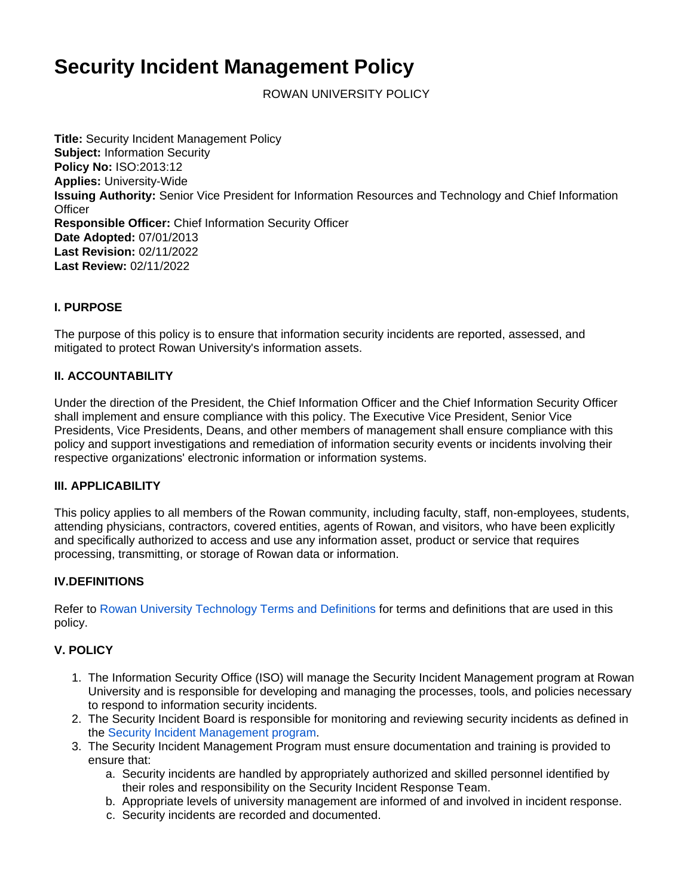# **Security Incident Management Policy**

ROWAN UNIVERSITY POLICY

**Title:** Security Incident Management Policy **Subject:** Information Security **Policy No:** ISO:2013:12 **Applies:** University-Wide **Issuing Authority:** Senior Vice President for Information Resources and Technology and Chief Information **Officer Responsible Officer:** Chief Information Security Officer **Date Adopted:** 07/01/2013 **Last Revision:** 02/11/2022 **Last Review:** 02/11/2022

### **I. PURPOSE**

The purpose of this policy is to ensure that information security incidents are reported, assessed, and mitigated to protect Rowan University's information assets.

#### **II. ACCOUNTABILITY**

Under the direction of the President, the Chief Information Officer and the Chief Information Security Officer shall implement and ensure compliance with this policy. The Executive Vice President, Senior Vice Presidents, Vice Presidents, Deans, and other members of management shall ensure compliance with this policy and support investigations and remediation of information security events or incidents involving their respective organizations' electronic information or information systems.

#### **III. APPLICABILITY**

This policy applies to all members of the Rowan community, including faculty, staff, non-employees, students, attending physicians, contractors, covered entities, agents of Rowan, and visitors, who have been explicitly and specifically authorized to access and use any information asset, product or service that requires processing, transmitting, or storage of Rowan data or information.

#### **IV.DEFINITIONS**

Refer to [Rowan University Technology Terms and Definitions](https://confluence.rowan.edu/display/POLICY/Technology+Terms+and+Definitions) for terms and definitions that are used in this policy.

## **V. POLICY**

- 1. The Information Security Office (ISO) will manage the Security Incident Management program at Rowan University and is responsible for developing and managing the processes, tools, and policies necessary to respond to information security incidents.
- 2. The Security Incident Board is responsible for monitoring and reviewing security incidents as defined in the [Security Incident Management program](https://confluence.rowan.edu/display/ISO/Security+Incident+Management+Program).
- 3. The Security Incident Management Program must ensure documentation and training is provided to ensure that:
	- a. Security incidents are handled by appropriately authorized and skilled personnel identified by their roles and responsibility on the Security Incident Response Team.
	- b. Appropriate levels of university management are informed of and involved in incident response.
	- c. Security incidents are recorded and documented.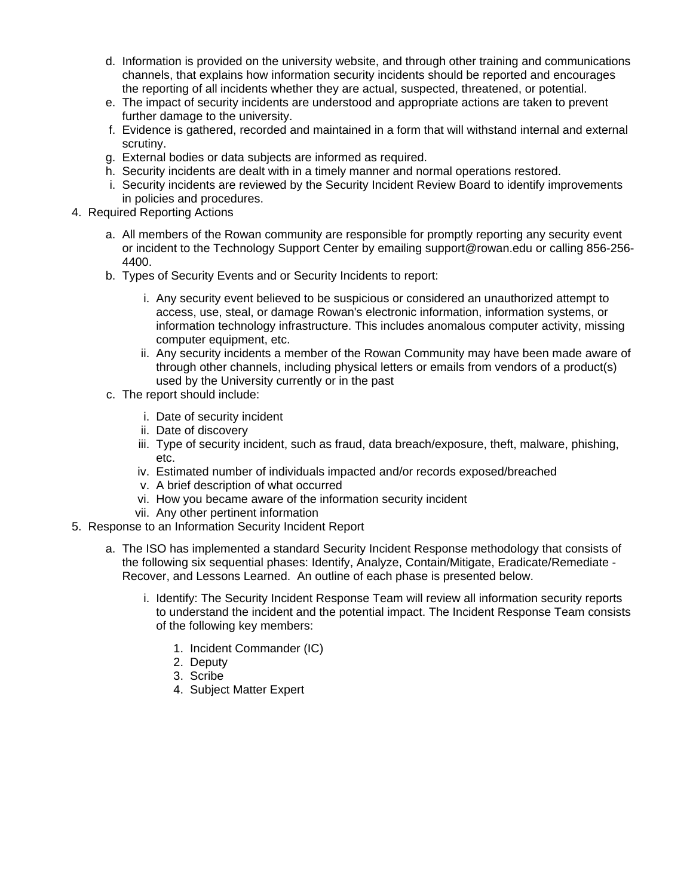- d. Information is provided on the university website, and through other training and communications channels, that explains how information security incidents should be reported and encourages the reporting of all incidents whether they are actual, suspected, threatened, or potential.
- e. The impact of security incidents are understood and appropriate actions are taken to prevent further damage to the university.
- f. Evidence is gathered, recorded and maintained in a form that will withstand internal and external scrutiny.
- g. External bodies or data subjects are informed as required.
- h. Security incidents are dealt with in a timely manner and normal operations restored.
- i. Security incidents are reviewed by the Security Incident Review Board to identify improvements in policies and procedures.
- 4. Required Reporting Actions
	- a. All members of the Rowan community are responsible for promptly reporting any security event or incident to the Technology Support Center by emailing [support@rowan.edu](mailto:support@rowan.edu) or calling 856-256- 4400.
	- b. Types of Security Events and or Security Incidents to report:
		- i. Any security event believed to be suspicious or considered an unauthorized attempt to access, use, steal, or damage Rowan's electronic information, information systems, or information technology infrastructure. This includes anomalous computer activity, missing computer equipment, etc.
		- ii. Any security incidents a member of the Rowan Community may have been made aware of through other channels, including physical letters or emails from vendors of a product(s) used by the University currently or in the past
	- c. The report should include:
		- i. Date of security incident
		- ii. Date of discovery
		- iii. Type of security incident, such as fraud, data breach/exposure, theft, malware, phishing, etc.
		- iv. Estimated number of individuals impacted and/or records exposed/breached
		- v. A brief description of what occurred
		- vi. How you became aware of the information security incident
		- vii. Any other pertinent information
- 5. Response to an Information Security Incident Report
	- a. The ISO has implemented a standard Security Incident Response methodology that consists of the following six sequential phases: Identify, Analyze, Contain/Mitigate, Eradicate/Remediate - Recover, and Lessons Learned. An outline of each phase is presented below.
		- i. Identify: The Security Incident Response Team will review all information security reports to understand the incident and the potential impact. The Incident Response Team consists of the following key members:
			- 1. Incident Commander (IC)
			- 2. Deputy
			- 3. Scribe
			- 4. Subject Matter Expert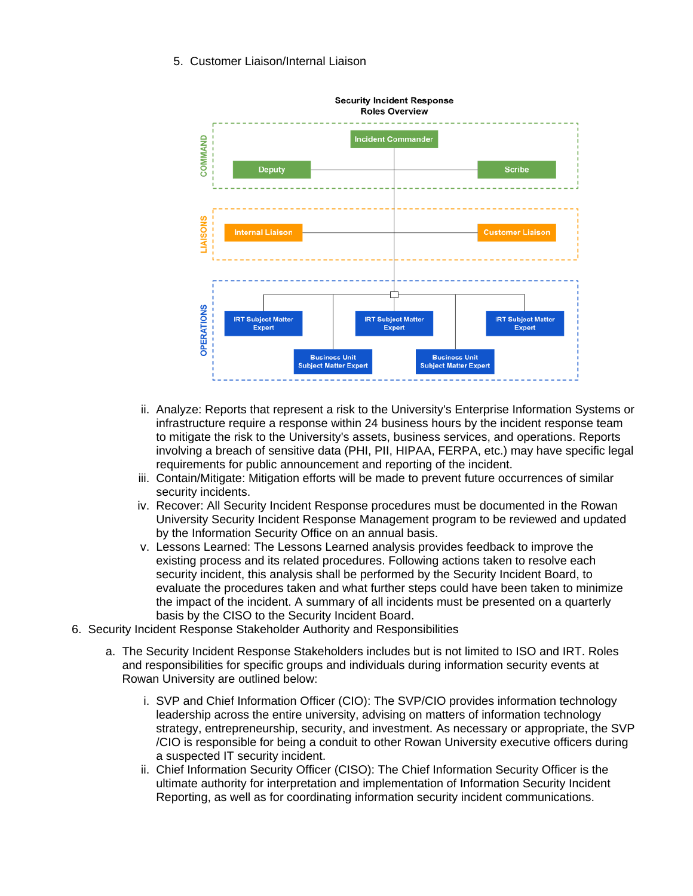#### 5. Customer Liaison/Internal Liaison



- ii. Analyze: Reports that represent a risk to the University's Enterprise Information Systems or infrastructure require a response within 24 business hours by the incident response team to mitigate the risk to the University's assets, business services, and operations. Reports involving a breach of sensitive data (PHI, PII, HIPAA, FERPA, etc.) may have specific legal requirements for public announcement and reporting of the incident.
- iii. Contain/Mitigate: Mitigation efforts will be made to prevent future occurrences of similar security incidents.
- iv. Recover: All Security Incident Response procedures must be documented in the Rowan University Security Incident Response Management program to be reviewed and updated by the Information Security Office on an annual basis.
- v. Lessons Learned: The Lessons Learned analysis provides feedback to improve the existing process and its related procedures. Following actions taken to resolve each security incident, this analysis shall be performed by the Security Incident Board, to evaluate the procedures taken and what further steps could have been taken to minimize the impact of the incident. A summary of all incidents must be presented on a quarterly basis by the CISO to the Security Incident Board.
- 6. Security Incident Response Stakeholder Authority and Responsibilities
	- a. The Security Incident Response Stakeholders includes but is not limited to ISO and IRT. Roles and responsibilities for specific groups and individuals during information security events at Rowan University are outlined below:
		- i. SVP and Chief Information Officer (CIO): The SVP/CIO provides information technology leadership across the entire university, advising on matters of information technology strategy, entrepreneurship, security, and investment. As necessary or appropriate, the SVP /CIO is responsible for being a conduit to other Rowan University executive officers during a suspected IT security incident.
		- ii. Chief Information Security Officer (CISO): The Chief Information Security Officer is the ultimate authority for interpretation and implementation of Information Security Incident Reporting, as well as for coordinating information security incident communications.